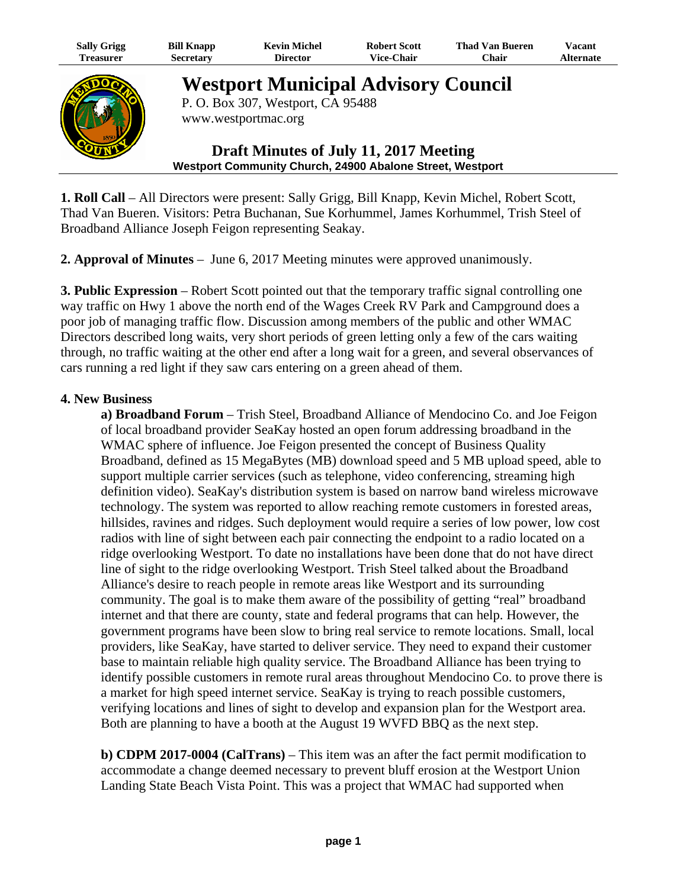| <b>Sally Grigg</b><br><b>Treasurer</b> | <b>Bill Knapp</b><br><b>Secretary</b>                                           | <b>Kevin Michel</b><br><b>Director</b> | <b>Robert Scott</b><br><b>Vice-Chair</b> | <b>Thad Van Bueren</b><br>Chair | Vacant<br><b>Alternate</b> |
|----------------------------------------|---------------------------------------------------------------------------------|----------------------------------------|------------------------------------------|---------------------------------|----------------------------|
|                                        | <b>Westport Municipal Advisory Council</b><br>P. O. Box 307, Westport, CA 95488 |                                        |                                          |                                 |                            |
|                                        |                                                                                 | www.westportmac.org                    |                                          |                                 |                            |

# **Draft Minutes of July 11, 2017 Meeting Westport Community Church, 24900 Abalone Street, Westport**

**1. Roll Call** – All Directors were present: Sally Grigg, Bill Knapp, Kevin Michel, Robert Scott, Thad Van Bueren. Visitors: Petra Buchanan, Sue Korhummel, James Korhummel, Trish Steel of Broadband Alliance Joseph Feigon representing Seakay.

**2. Approval of Minutes** – June 6, 2017 Meeting minutes were approved unanimously.

**3. Public Expression** – Robert Scott pointed out that the temporary traffic signal controlling one way traffic on Hwy 1 above the north end of the Wages Creek RV Park and Campground does a poor job of managing traffic flow. Discussion among members of the public and other WMAC Directors described long waits, very short periods of green letting only a few of the cars waiting through, no traffic waiting at the other end after a long wait for a green, and several observances of cars running a red light if they saw cars entering on a green ahead of them.

# **4. New Business**

**COUNT** 

**a) Broadband Forum** – Trish Steel, Broadband Alliance of Mendocino Co. and Joe Feigon of local broadband provider SeaKay hosted an open forum addressing broadband in the WMAC sphere of influence. Joe Feigon presented the concept of Business Quality Broadband, defined as 15 MegaBytes (MB) download speed and 5 MB upload speed, able to support multiple carrier services (such as telephone, video conferencing, streaming high definition video). SeaKay's distribution system is based on narrow band wireless microwave technology. The system was reported to allow reaching remote customers in forested areas, hillsides, ravines and ridges. Such deployment would require a series of low power, low cost radios with line of sight between each pair connecting the endpoint to a radio located on a ridge overlooking Westport. To date no installations have been done that do not have direct line of sight to the ridge overlooking Westport. Trish Steel talked about the Broadband Alliance's desire to reach people in remote areas like Westport and its surrounding community. The goal is to make them aware of the possibility of getting "real" broadband internet and that there are county, state and federal programs that can help. However, the government programs have been slow to bring real service to remote locations. Small, local providers, like SeaKay, have started to deliver service. They need to expand their customer base to maintain reliable high quality service. The Broadband Alliance has been trying to identify possible customers in remote rural areas throughout Mendocino Co. to prove there is a market for high speed internet service. SeaKay is trying to reach possible customers, verifying locations and lines of sight to develop and expansion plan for the Westport area. Both are planning to have a booth at the August 19 WVFD BBQ as the next step.

**b) CDPM 2017-0004 (CalTrans)** – This item was an after the fact permit modification to accommodate a change deemed necessary to prevent bluff erosion at the Westport Union Landing State Beach Vista Point. This was a project that WMAC had supported when